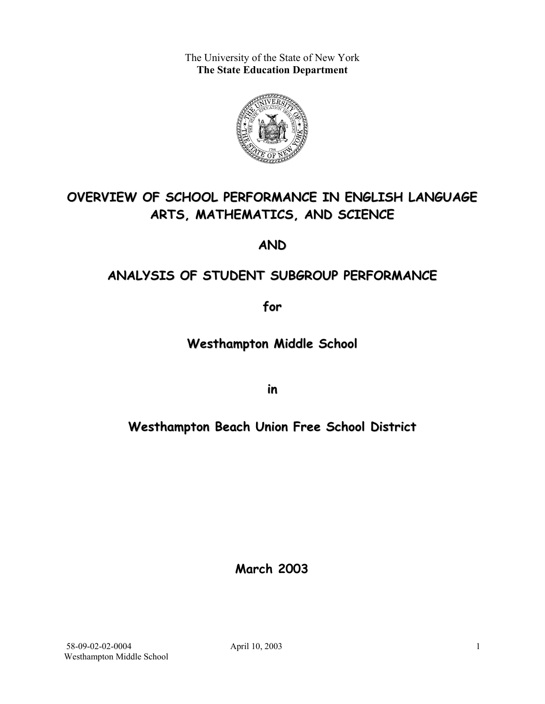The University of the State of New York **The State Education Department** 



# **OVERVIEW OF SCHOOL PERFORMANCE IN ENGLISH LANGUAGE ARTS, MATHEMATICS, AND SCIENCE**

**AND**

# **ANALYSIS OF STUDENT SUBGROUP PERFORMANCE**

**for**

**Westhampton Middle School**

**in**

# **Westhampton Beach Union Free School District**

**March 2003**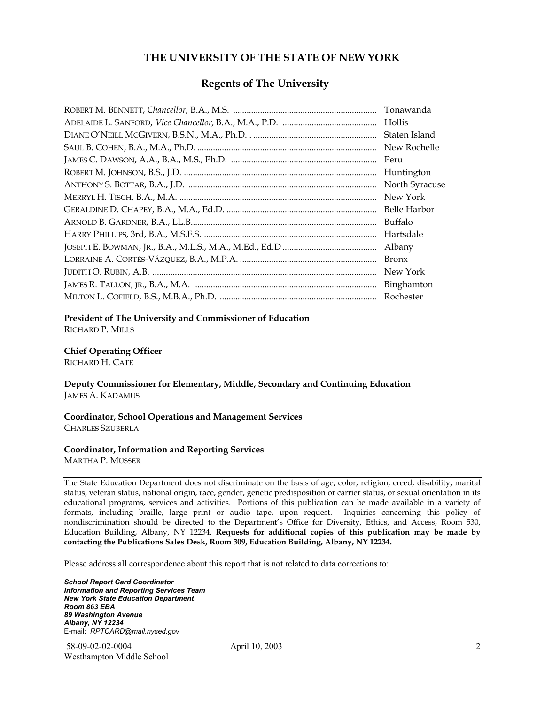#### **THE UNIVERSITY OF THE STATE OF NEW YORK**

#### **Regents of The University**

| Tonawanda      |
|----------------|
| Hollis         |
| Staten Island  |
| New Rochelle   |
| Peru           |
| Huntington     |
| North Syracuse |
| New York       |
| Belle Harbor   |
| Buffalo        |
| Hartsdale      |
| Albany         |
| <b>Bronx</b>   |
| New York       |
| Binghamton     |
| Rochester      |

#### **President of The University and Commissioner of Education**

RICHARD P. MILLS

#### **Chief Operating Officer**

RICHARD H. CATE

**Deputy Commissioner for Elementary, Middle, Secondary and Continuing Education**  JAMES A. KADAMUS

#### **Coordinator, School Operations and Management Services**  CHARLES SZUBERLA

#### **Coordinator, Information and Reporting Services**

MARTHA P. MUSSER

The State Education Department does not discriminate on the basis of age, color, religion, creed, disability, marital status, veteran status, national origin, race, gender, genetic predisposition or carrier status, or sexual orientation in its educational programs, services and activities. Portions of this publication can be made available in a variety of formats, including braille, large print or audio tape, upon request. Inquiries concerning this policy of nondiscrimination should be directed to the Department's Office for Diversity, Ethics, and Access, Room 530, Education Building, Albany, NY 12234. **Requests for additional copies of this publication may be made by contacting the Publications Sales Desk, Room 309, Education Building, Albany, NY 12234.** 

Please address all correspondence about this report that is not related to data corrections to:

*School Report Card Coordinator Information and Reporting Services Team New York State Education Department Room 863 EBA 89 Washington Avenue Albany, NY 12234*  E-mail: *RPTCARD@mail.nysed.gov*

 58-09-02-02-0004 April 10, 2003 Westhampton Middle School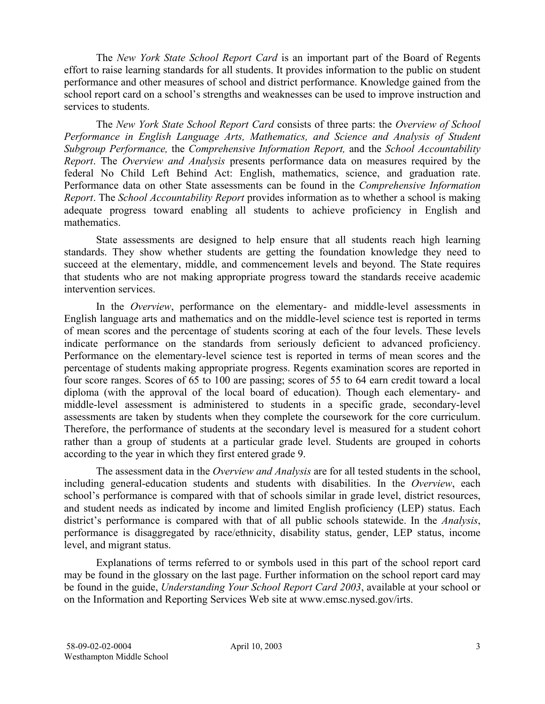The *New York State School Report Card* is an important part of the Board of Regents effort to raise learning standards for all students. It provides information to the public on student performance and other measures of school and district performance. Knowledge gained from the school report card on a school's strengths and weaknesses can be used to improve instruction and services to students.

The *New York State School Report Card* consists of three parts: the *Overview of School Performance in English Language Arts, Mathematics, and Science and Analysis of Student Subgroup Performance,* the *Comprehensive Information Report,* and the *School Accountability Report*. The *Overview and Analysis* presents performance data on measures required by the federal No Child Left Behind Act: English, mathematics, science, and graduation rate. Performance data on other State assessments can be found in the *Comprehensive Information Report*. The *School Accountability Report* provides information as to whether a school is making adequate progress toward enabling all students to achieve proficiency in English and mathematics.

State assessments are designed to help ensure that all students reach high learning standards. They show whether students are getting the foundation knowledge they need to succeed at the elementary, middle, and commencement levels and beyond. The State requires that students who are not making appropriate progress toward the standards receive academic intervention services.

In the *Overview*, performance on the elementary- and middle-level assessments in English language arts and mathematics and on the middle-level science test is reported in terms of mean scores and the percentage of students scoring at each of the four levels. These levels indicate performance on the standards from seriously deficient to advanced proficiency. Performance on the elementary-level science test is reported in terms of mean scores and the percentage of students making appropriate progress. Regents examination scores are reported in four score ranges. Scores of 65 to 100 are passing; scores of 55 to 64 earn credit toward a local diploma (with the approval of the local board of education). Though each elementary- and middle-level assessment is administered to students in a specific grade, secondary-level assessments are taken by students when they complete the coursework for the core curriculum. Therefore, the performance of students at the secondary level is measured for a student cohort rather than a group of students at a particular grade level. Students are grouped in cohorts according to the year in which they first entered grade 9.

The assessment data in the *Overview and Analysis* are for all tested students in the school, including general-education students and students with disabilities. In the *Overview*, each school's performance is compared with that of schools similar in grade level, district resources, and student needs as indicated by income and limited English proficiency (LEP) status. Each district's performance is compared with that of all public schools statewide. In the *Analysis*, performance is disaggregated by race/ethnicity, disability status, gender, LEP status, income level, and migrant status.

Explanations of terms referred to or symbols used in this part of the school report card may be found in the glossary on the last page. Further information on the school report card may be found in the guide, *Understanding Your School Report Card 2003*, available at your school or on the Information and Reporting Services Web site at www.emsc.nysed.gov/irts.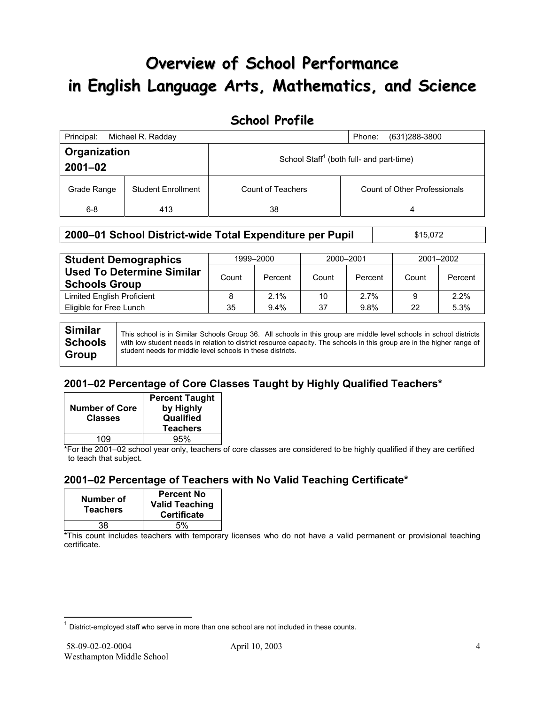# **Overview of School Performance in English Language Arts, Mathematics, and Science**

## **School Profile**

| Principal:                                                                          | Michael R. Radday         |                   | $(631)288 - 3800$<br>Phone:         |
|-------------------------------------------------------------------------------------|---------------------------|-------------------|-------------------------------------|
| Organization<br>School Staff <sup>1</sup> (both full- and part-time)<br>$2001 - 02$ |                           |                   |                                     |
| Grade Range                                                                         | <b>Student Enrollment</b> | Count of Teachers | <b>Count of Other Professionals</b> |
| $6-8$                                                                               | 413                       | 38                | 4                                   |

#### **2000–01 School District-wide Total Expenditure per Pupil | \$15,072**

| <b>Student Demographics</b>                              | 1999-2000 |         | 2000-2001 |         | 2001-2002 |         |
|----------------------------------------------------------|-----------|---------|-----------|---------|-----------|---------|
| <b>Used To Determine Similar</b><br><b>Schools Group</b> | Count     | Percent | Count     | Percent | Count     | Percent |
| Limited English Proficient                               |           | 2.1%    | 10        | 2.7%    | 9         | 2.2%    |
| Eligible for Free Lunch                                  | 35        | $9.4\%$ | 37        | 9.8%    | 22        | 5.3%    |
|                                                          |           |         |           |         |           |         |

**Similar Schools Group**  This school is in Similar Schools Group 36. All schools in this group are middle level schools in school districts with low student needs in relation to district resource capacity. The schools in this group are in the higher range of student needs for middle level schools in these districts.

### **2001–02 Percentage of Core Classes Taught by Highly Qualified Teachers\***

| <b>Number of Core</b><br><b>Classes</b> | <b>Percent Taught</b><br>by Highly<br>Qualified<br><b>Teachers</b> |
|-----------------------------------------|--------------------------------------------------------------------|
| 1NQ                                     | 95%                                                                |

\*For the 2001–02 school year only, teachers of core classes are considered to be highly qualified if they are certified to teach that subject.

### **2001–02 Percentage of Teachers with No Valid Teaching Certificate\***

| Number of<br><b>Teachers</b> | <b>Percent No</b><br><b>Valid Teaching</b><br><b>Certificate</b> |
|------------------------------|------------------------------------------------------------------|
| 38                           | .5%                                                              |

\*This count includes teachers with temporary licenses who do not have a valid permanent or provisional teaching certificate.

 $\overline{a}$ 

 $1$  District-employed staff who serve in more than one school are not included in these counts.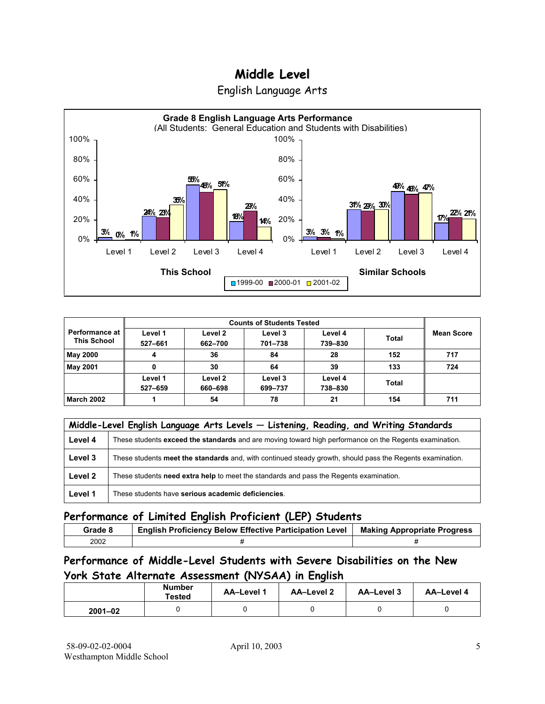

English Language Arts

| Performance at<br><b>This School</b> | Level 1<br>527-661 | Level 2<br>662-700 | Level 3<br>701-738 | Level 4<br>739-830 | <b>Total</b> | <b>Mean Score</b> |
|--------------------------------------|--------------------|--------------------|--------------------|--------------------|--------------|-------------------|
| <b>May 2000</b>                      | 4                  | 36                 | 84                 | 28                 | 152          | 717               |
| <b>May 2001</b>                      |                    | 30                 | 64                 | 39                 | 133          | 724               |
|                                      | Level 1<br>527-659 | Level 2<br>660-698 | Level 3<br>699-737 | Level 4<br>738-830 | <b>Total</b> |                   |
| <b>March 2002</b>                    |                    | 54                 | 78                 | 21                 | 154          | 711               |

|         | Middle-Level English Language Arts Levels - Listening, Reading, and Writing Standards                     |  |  |  |  |
|---------|-----------------------------------------------------------------------------------------------------------|--|--|--|--|
| Level 4 | These students exceed the standards and are moving toward high performance on the Regents examination.    |  |  |  |  |
| Level 3 | These students meet the standards and, with continued steady growth, should pass the Regents examination. |  |  |  |  |
| Level 2 | These students need extra help to meet the standards and pass the Regents examination.                    |  |  |  |  |
| Level 1 | These students have serious academic deficiencies.                                                        |  |  |  |  |

### **Performance of Limited English Proficient (LEP) Students**

| Grade 8 | <b>English Proficiency Below Effective Participation Level</b> | <b>Making Appropriate Progress</b> |
|---------|----------------------------------------------------------------|------------------------------------|
| 2002    |                                                                |                                    |

### **Performance of Middle-Level Students with Severe Disabilities on the New York State Alternate Assessment (NYSAA) in English**

|             | <b>Number</b><br>Tested | <b>AA-Level 1</b> | AA-Level 2 | AA-Level 3 | AA-Level 4 |
|-------------|-------------------------|-------------------|------------|------------|------------|
| $2001 - 02$ |                         |                   |            |            |            |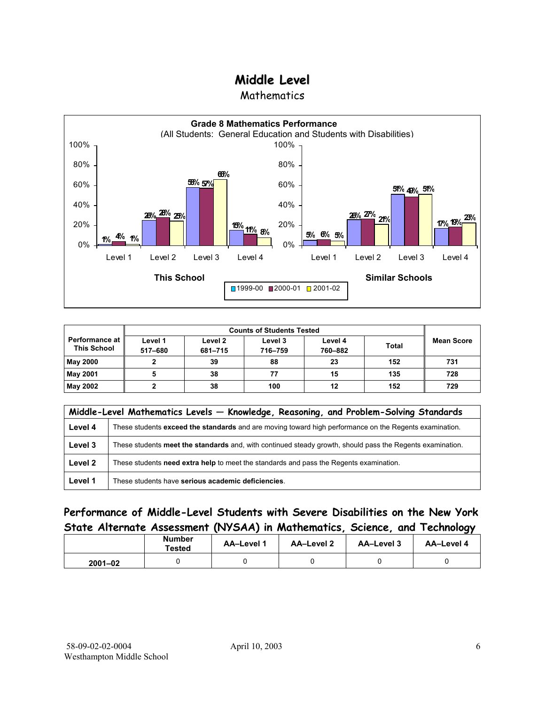**Mathematics** 



|                                               | <b>Counts of Students Tested</b> |                    |                    |                    |              |                   |
|-----------------------------------------------|----------------------------------|--------------------|--------------------|--------------------|--------------|-------------------|
| <b>Performance at I</b><br><b>This School</b> | Level 1<br>517-680               | Level 2<br>681-715 | Level 3<br>716-759 | Level 4<br>760-882 | <b>Total</b> | <b>Mean Score</b> |
| <b>May 2000</b>                               |                                  | 39                 | 88                 | 23                 | 152          | 731               |
| <b>May 2001</b>                               |                                  | 38                 | 77                 | 15                 | 135          | 728               |
| May 2002                                      |                                  | 38                 | 100                | 12                 | 152          | 729               |

|         | Middle-Level Mathematics Levels - Knowledge, Reasoning, and Problem-Solving Standards                     |
|---------|-----------------------------------------------------------------------------------------------------------|
| Level 4 | These students exceed the standards and are moving toward high performance on the Regents examination.    |
| Level 3 | These students meet the standards and, with continued steady growth, should pass the Regents examination. |
| Level 2 | These students need extra help to meet the standards and pass the Regents examination.                    |
| Level 1 | These students have serious academic deficiencies.                                                        |

### **Performance of Middle-Level Students with Severe Disabilities on the New York State Alternate Assessment (NYSAA) in Mathematics, Science, and Technology**

|             | <b>Number</b><br>Tested | <b>AA-Level 1</b> | AA-Level 2 | AA-Level 3 | AA-Level 4 |
|-------------|-------------------------|-------------------|------------|------------|------------|
| $2001 - 02$ |                         |                   |            |            |            |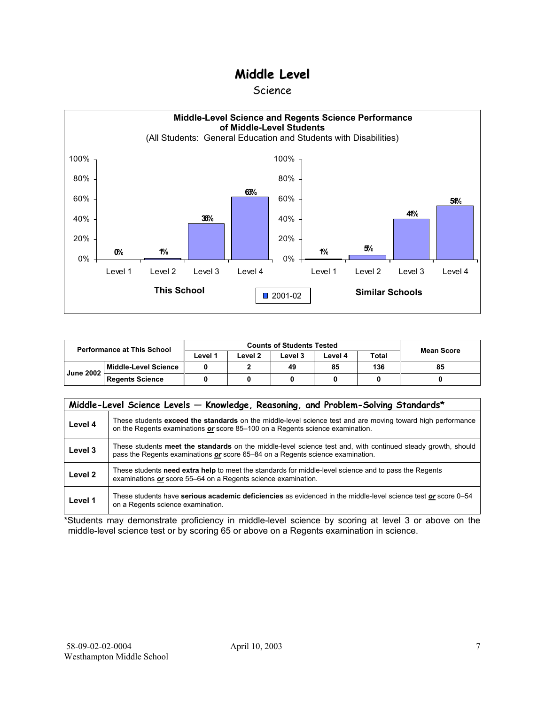#### Science



| <b>Performance at This School</b> |                        |         | <b>Mean Score</b> |         |         |              |    |
|-----------------------------------|------------------------|---------|-------------------|---------|---------|--------------|----|
|                                   |                        | Level 1 | ∟evel 2           | Level 3 | Level 4 | <b>Total</b> |    |
| <b>June 2002</b>                  | l Middle-Level Science |         |                   | 49      | 85      | 136          | 85 |
|                                   | <b>Regents Science</b> |         |                   |         |         |              |    |

| Middle-Level Science Levels - Knowledge, Reasoning, and Problem-Solving Standards* |                                                                                                                                                                                                |  |  |  |  |  |
|------------------------------------------------------------------------------------|------------------------------------------------------------------------------------------------------------------------------------------------------------------------------------------------|--|--|--|--|--|
| Level 4                                                                            | These students exceed the standards on the middle-level science test and are moving toward high performance<br>on the Regents examinations or score 85-100 on a Regents science examination.   |  |  |  |  |  |
| Level 3                                                                            | These students meet the standards on the middle-level science test and, with continued steady growth, should<br>pass the Regents examinations or score 65–84 on a Regents science examination. |  |  |  |  |  |
| Level 2                                                                            | These students need extra help to meet the standards for middle-level science and to pass the Regents<br>examinations or score 55–64 on a Regents science examination.                         |  |  |  |  |  |
| Level 1                                                                            | These students have serious academic deficiencies as evidenced in the middle-level science test or score 0–54<br>on a Regents science examination.                                             |  |  |  |  |  |

\*Students may demonstrate proficiency in middle-level science by scoring at level 3 or above on the middle-level science test or by scoring 65 or above on a Regents examination in science.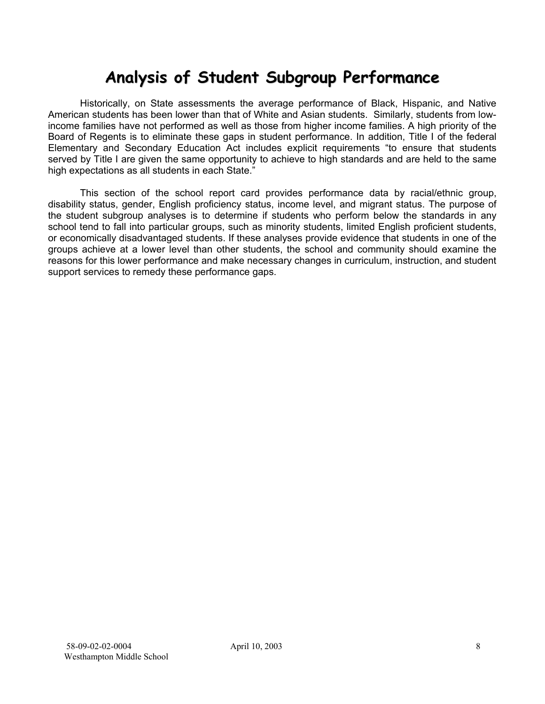# **Analysis of Student Subgroup Performance**

Historically, on State assessments the average performance of Black, Hispanic, and Native American students has been lower than that of White and Asian students. Similarly, students from lowincome families have not performed as well as those from higher income families. A high priority of the Board of Regents is to eliminate these gaps in student performance. In addition, Title I of the federal Elementary and Secondary Education Act includes explicit requirements "to ensure that students served by Title I are given the same opportunity to achieve to high standards and are held to the same high expectations as all students in each State."

This section of the school report card provides performance data by racial/ethnic group, disability status, gender, English proficiency status, income level, and migrant status. The purpose of the student subgroup analyses is to determine if students who perform below the standards in any school tend to fall into particular groups, such as minority students, limited English proficient students, or economically disadvantaged students. If these analyses provide evidence that students in one of the groups achieve at a lower level than other students, the school and community should examine the reasons for this lower performance and make necessary changes in curriculum, instruction, and student support services to remedy these performance gaps.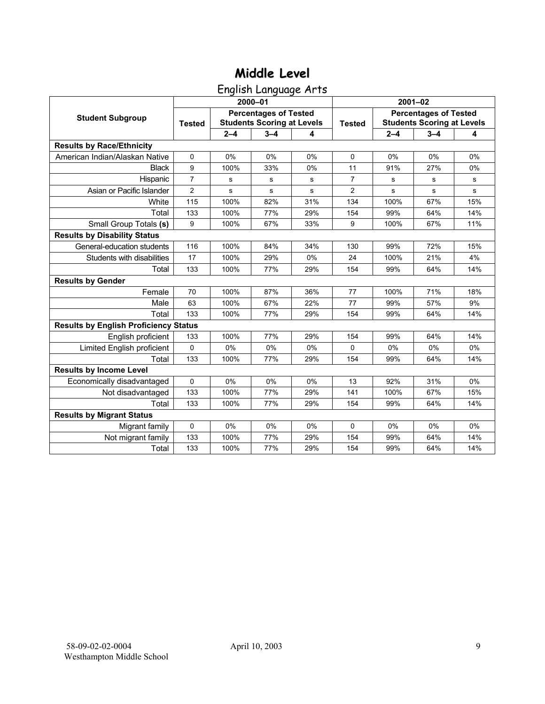English Language Arts

|                                              |                |                                                                   | 2000-01 |     | $2001 - 02$    |                                                                   |         |     |
|----------------------------------------------|----------------|-------------------------------------------------------------------|---------|-----|----------------|-------------------------------------------------------------------|---------|-----|
| <b>Student Subgroup</b>                      | <b>Tested</b>  | <b>Percentages of Tested</b><br><b>Students Scoring at Levels</b> |         |     | <b>Tested</b>  | <b>Percentages of Tested</b><br><b>Students Scoring at Levels</b> |         |     |
|                                              |                | $2 - 4$                                                           | $3 - 4$ | 4   |                | $2 - 4$                                                           | $3 - 4$ | 4   |
| <b>Results by Race/Ethnicity</b>             |                |                                                                   |         |     |                |                                                                   |         |     |
| American Indian/Alaskan Native               | $\mathbf 0$    | 0%                                                                | 0%      | 0%  | 0              | 0%                                                                | 0%      | 0%  |
| <b>Black</b>                                 | 9              | 100%                                                              | 33%     | 0%  | 11             | 91%                                                               | 27%     | 0%  |
| Hispanic                                     | $\overline{7}$ | s                                                                 | s       | s   | $\overline{7}$ | s                                                                 | s       | s   |
| Asian or Pacific Islander                    | $\overline{2}$ | s                                                                 | s       | s   | $\overline{c}$ | s                                                                 | s       | s   |
| White                                        | 115            | 100%                                                              | 82%     | 31% | 134            | 100%                                                              | 67%     | 15% |
| Total                                        | 133            | 100%                                                              | 77%     | 29% | 154            | 99%                                                               | 64%     | 14% |
| Small Group Totals (s)                       | 9              | 100%                                                              | 67%     | 33% | 9              | 100%                                                              | 67%     | 11% |
| <b>Results by Disability Status</b>          |                |                                                                   |         |     |                |                                                                   |         |     |
| General-education students                   | 116            | 100%                                                              | 84%     | 34% | 130            | 99%                                                               | 72%     | 15% |
| Students with disabilities                   | 17             | 100%                                                              | 29%     | 0%  | 24             | 100%                                                              | 21%     | 4%  |
| Total                                        | 133            | 100%                                                              | 77%     | 29% | 154            | 99%                                                               | 64%     | 14% |
| <b>Results by Gender</b>                     |                |                                                                   |         |     |                |                                                                   |         |     |
| Female                                       | 70             | 100%                                                              | 87%     | 36% | 77             | 100%                                                              | 71%     | 18% |
| Male                                         | 63             | 100%                                                              | 67%     | 22% | 77             | 99%                                                               | 57%     | 9%  |
| Total                                        | 133            | 100%                                                              | 77%     | 29% | 154            | 99%                                                               | 64%     | 14% |
| <b>Results by English Proficiency Status</b> |                |                                                                   |         |     |                |                                                                   |         |     |
| English proficient                           | 133            | 100%                                                              | 77%     | 29% | 154            | 99%                                                               | 64%     | 14% |
| Limited English proficient                   | 0              | 0%                                                                | 0%      | 0%  | 0              | 0%                                                                | 0%      | 0%  |
| Total                                        | 133            | 100%                                                              | 77%     | 29% | 154            | 99%                                                               | 64%     | 14% |
| <b>Results by Income Level</b>               |                |                                                                   |         |     |                |                                                                   |         |     |
| Economically disadvantaged                   | 0              | 0%                                                                | 0%      | 0%  | 13             | 92%                                                               | 31%     | 0%  |
| Not disadvantaged                            | 133            | 100%                                                              | 77%     | 29% | 141            | 100%                                                              | 67%     | 15% |
| Total                                        | 133            | 100%                                                              | 77%     | 29% | 154            | 99%                                                               | 64%     | 14% |
| <b>Results by Migrant Status</b>             |                |                                                                   |         |     |                |                                                                   |         |     |
| Migrant family                               | 0              | 0%                                                                | 0%      | 0%  | $\Omega$       | 0%                                                                | 0%      | 0%  |
| Not migrant family                           | 133            | 100%                                                              | 77%     | 29% | 154            | 99%                                                               | 64%     | 14% |
| Total                                        | 133            | 100%                                                              | 77%     | 29% | 154            | 99%                                                               | 64%     | 14% |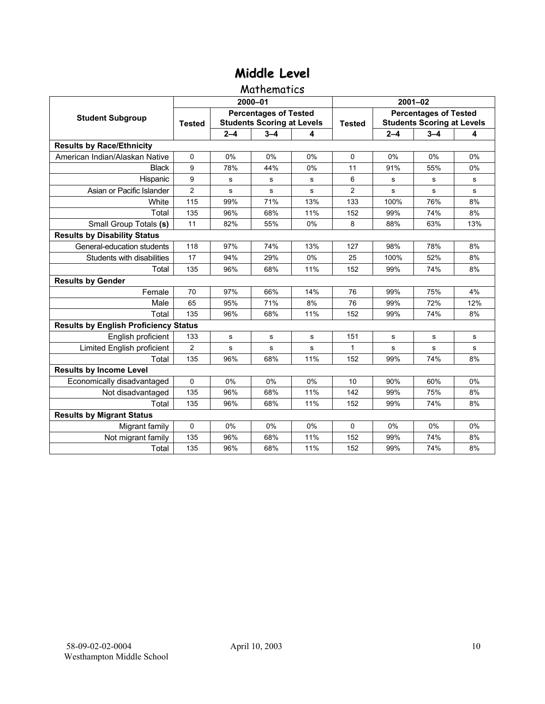#### **Mathematics**

|                                              |                |                                                                   | 2000-01 |       | 2001-02        |                                                                   |             |     |  |
|----------------------------------------------|----------------|-------------------------------------------------------------------|---------|-------|----------------|-------------------------------------------------------------------|-------------|-----|--|
| <b>Student Subgroup</b>                      | <b>Tested</b>  | <b>Percentages of Tested</b><br><b>Students Scoring at Levels</b> |         |       | <b>Tested</b>  | <b>Percentages of Tested</b><br><b>Students Scoring at Levels</b> |             |     |  |
|                                              |                | $2 - 4$                                                           | $3 - 4$ | 4     |                | $2 - 4$                                                           | $3 - 4$     | 4   |  |
| <b>Results by Race/Ethnicity</b>             |                |                                                                   |         |       |                |                                                                   |             |     |  |
| American Indian/Alaskan Native               | 0              | 0%                                                                | 0%      | 0%    | $\Omega$       | 0%                                                                | 0%          | 0%  |  |
| <b>Black</b>                                 | 9              | 78%                                                               | 44%     | $0\%$ | 11             | 91%                                                               | 55%         | 0%  |  |
| Hispanic                                     | 9              | s                                                                 | s       | s     | 6              | s                                                                 | s           | s   |  |
| Asian or Pacific Islander                    | $\overline{2}$ | s                                                                 | s       | s     | $\overline{c}$ | s                                                                 | s           | s   |  |
| White                                        | 115            | 99%                                                               | 71%     | 13%   | 133            | 100%                                                              | 76%         | 8%  |  |
| Total                                        | 135            | 96%                                                               | 68%     | 11%   | 152            | 99%                                                               | 74%         | 8%  |  |
| Small Group Totals (s)                       | 11             | 82%                                                               | 55%     | 0%    | 8              | 88%                                                               | 63%         | 13% |  |
| <b>Results by Disability Status</b>          |                |                                                                   |         |       |                |                                                                   |             |     |  |
| General-education students                   | 118            | 97%                                                               | 74%     | 13%   | 127            | 98%                                                               | 78%         | 8%  |  |
| Students with disabilities                   | 17             | 94%                                                               | 29%     | 0%    | 25             | 100%                                                              | 52%         | 8%  |  |
| Total                                        | 135            | 96%                                                               | 68%     | 11%   | 152            | 99%                                                               | 74%         | 8%  |  |
| <b>Results by Gender</b>                     |                |                                                                   |         |       |                |                                                                   |             |     |  |
| Female                                       | 70             | 97%                                                               | 66%     | 14%   | 76             | 99%                                                               | 75%         | 4%  |  |
| Male                                         | 65             | 95%                                                               | 71%     | 8%    | 76             | 99%                                                               | 72%         | 12% |  |
| Total                                        | 135            | 96%                                                               | 68%     | 11%   | 152            | 99%                                                               | 74%         | 8%  |  |
| <b>Results by English Proficiency Status</b> |                |                                                                   |         |       |                |                                                                   |             |     |  |
| English proficient                           | 133            | ${\bf s}$                                                         | s       | s     | 151            | s                                                                 | $\mathbf s$ | s   |  |
| Limited English proficient                   | $\overline{2}$ | s                                                                 | s       | s     | 1              | s                                                                 | s           | s   |  |
| Total                                        | 135            | 96%                                                               | 68%     | 11%   | 152            | 99%                                                               | 74%         | 8%  |  |
| <b>Results by Income Level</b>               |                |                                                                   |         |       |                |                                                                   |             |     |  |
| Economically disadvantaged                   | $\Omega$       | 0%                                                                | 0%      | 0%    | 10             | 90%                                                               | 60%         | 0%  |  |
| Not disadvantaged                            | 135            | 96%                                                               | 68%     | 11%   | 142            | 99%                                                               | 75%         | 8%  |  |
| Total                                        | 135            | 96%                                                               | 68%     | 11%   | 152            | 99%                                                               | 74%         | 8%  |  |
| <b>Results by Migrant Status</b>             |                |                                                                   |         |       |                |                                                                   |             |     |  |
| Migrant family                               | 0              | $0\%$                                                             | 0%      | 0%    | $\Omega$       | $0\%$                                                             | $0\%$       | 0%  |  |
| Not migrant family                           | 135            | 96%                                                               | 68%     | 11%   | 152            | 99%                                                               | 74%         | 8%  |  |
| Total                                        | 135            | 96%                                                               | 68%     | 11%   | 152            | 99%                                                               | 74%         | 8%  |  |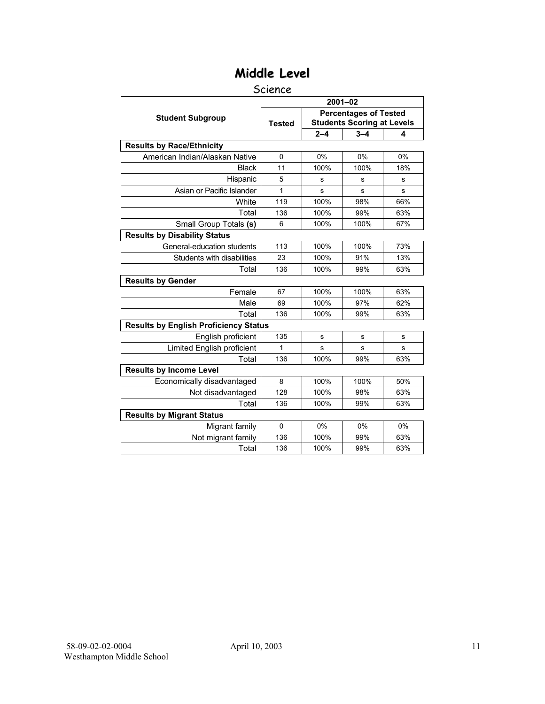#### Science

|                                              | $2001 - 02$   |                                                                   |         |     |  |  |  |
|----------------------------------------------|---------------|-------------------------------------------------------------------|---------|-----|--|--|--|
| <b>Student Subgroup</b>                      | <b>Tested</b> | <b>Percentages of Tested</b><br><b>Students Scoring at Levels</b> |         |     |  |  |  |
|                                              |               | $2 - 4$                                                           | $3 - 4$ | 4   |  |  |  |
| <b>Results by Race/Ethnicity</b>             |               |                                                                   |         |     |  |  |  |
| American Indian/Alaskan Native               | $\Omega$      | 0%                                                                | 0%      | 0%  |  |  |  |
| <b>Black</b>                                 | 11            | 100%                                                              | 100%    | 18% |  |  |  |
| Hispanic                                     | 5             | s                                                                 | S       | s   |  |  |  |
| Asian or Pacific Islander                    | 1             | s                                                                 | s       | s   |  |  |  |
| White                                        | 119           | 100%                                                              | 98%     | 66% |  |  |  |
| Total                                        | 136           | 100%                                                              | 99%     | 63% |  |  |  |
| Small Group Totals (s)                       | 6             | 100%                                                              | 100%    | 67% |  |  |  |
| <b>Results by Disability Status</b>          |               |                                                                   |         |     |  |  |  |
| General-education students                   | 113           | 100%                                                              | 100%    | 73% |  |  |  |
| Students with disabilities                   | 23            | 100%                                                              | 91%     | 13% |  |  |  |
| Total                                        | 136           | 100%                                                              | 99%     | 63% |  |  |  |
| <b>Results by Gender</b>                     |               |                                                                   |         |     |  |  |  |
| Female                                       | 67            | 100%                                                              | 100%    | 63% |  |  |  |
| Male                                         | 69            | 100%                                                              | 97%     | 62% |  |  |  |
| Total                                        | 136           | 100%                                                              | 99%     | 63% |  |  |  |
| <b>Results by English Proficiency Status</b> |               |                                                                   |         |     |  |  |  |
| English proficient                           | 135           | s                                                                 | s       | s   |  |  |  |
| Limited English proficient                   | 1             | s                                                                 | S       | s   |  |  |  |
| Total                                        | 136           | 100%                                                              | 99%     | 63% |  |  |  |
| <b>Results by Income Level</b>               |               |                                                                   |         |     |  |  |  |
| Economically disadvantaged                   | 8             | 100%                                                              | 100%    | 50% |  |  |  |
| Not disadvantaged                            | 128           | 100%                                                              | 98%     | 63% |  |  |  |
| Total                                        | 136           | 100%                                                              | 99%     | 63% |  |  |  |
| <b>Results by Migrant Status</b>             |               |                                                                   |         |     |  |  |  |
| Migrant family                               | $\Omega$      | 0%                                                                | 0%      | 0%  |  |  |  |
| Not migrant family                           | 136           | 100%                                                              | 99%     | 63% |  |  |  |
| Total                                        | 136           | 100%                                                              | 99%     | 63% |  |  |  |